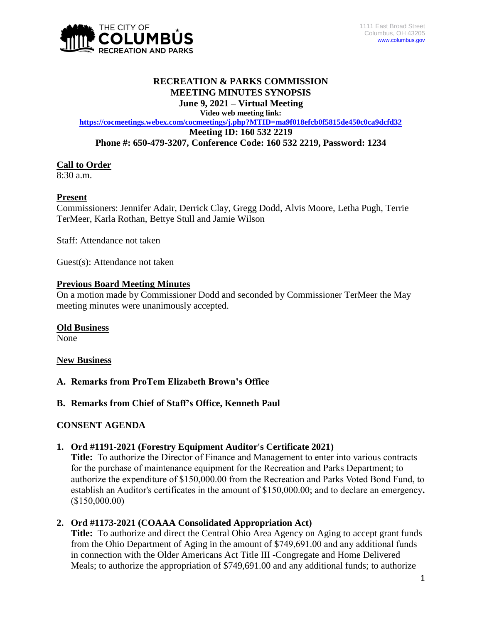

### **RECREATION & PARKS COMMISSION MEETING MINUTES SYNOPSIS June 9, 2021 – Virtual Meeting**

**Video web meeting link:**

**<https://cocmeetings.webex.com/cocmeetings/j.php?MTID=ma9f018efcb0f5815de450c0ca9dcfd32> Meeting ID: 160 532 2219 Phone #: 650-479-3207, Conference Code: 160 532 2219, Password: 1234**

## **Call to Order**

8:30 a.m.

## **Present**

Commissioners: Jennifer Adair, Derrick Clay, Gregg Dodd, Alvis Moore, Letha Pugh, Terrie TerMeer, Karla Rothan, Bettye Stull and Jamie Wilson

Staff: Attendance not taken

Guest(s): Attendance not taken

### **Previous Board Meeting Minutes**

On a motion made by Commissioner Dodd and seconded by Commissioner TerMeer the May meeting minutes were unanimously accepted.

### **Old Business**

None

### **New Business**

**A. Remarks from ProTem Elizabeth Brown's Office**

## **B. Remarks from Chief of Staff's Office, Kenneth Paul**

### **CONSENT AGENDA**

### **1. Ord #1191-2021 (Forestry Equipment Auditor's Certificate 2021)**

**Title:** To authorize the Director of Finance and Management to enter into various contracts for the purchase of maintenance equipment for the Recreation and Parks Department; to authorize the expenditure of \$150,000.00 from the Recreation and Parks Voted Bond Fund, to establish an Auditor's certificates in the amount of \$150,000.00; and to declare an emergency**.**  (\$150,000.00)

## **2. Ord #1173-2021 (COAAA Consolidated Appropriation Act)**

**Title:** To authorize and direct the Central Ohio Area Agency on Aging to accept grant funds from the Ohio Department of Aging in the amount of \$749,691.00 and any additional funds in connection with the Older Americans Act Title III -Congregate and Home Delivered Meals; to authorize the appropriation of \$749,691.00 and any additional funds; to authorize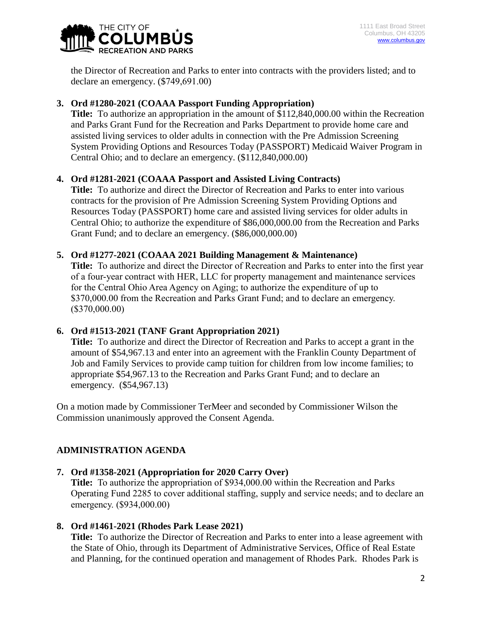the Director of Recreation and Parks to enter into contracts with the providers listed; and to declare an emergency. (\$749,691.00)

# **3. Ord #1280-2021 (COAAA Passport Funding Appropriation)**

**Title:** To authorize an appropriation in the amount of \$112,840,000.00 within the Recreation and Parks Grant Fund for the Recreation and Parks Department to provide home care and assisted living services to older adults in connection with the Pre Admission Screening System Providing Options and Resources Today (PASSPORT) Medicaid Waiver Program in Central Ohio; and to declare an emergency. (\$112,840,000.00)

# **4. Ord #1281-2021 (COAAA Passport and Assisted Living Contracts)**

**Title:** To authorize and direct the Director of Recreation and Parks to enter into various contracts for the provision of Pre Admission Screening System Providing Options and Resources Today (PASSPORT) home care and assisted living services for older adults in Central Ohio; to authorize the expenditure of \$86,000,000.00 from the Recreation and Parks Grant Fund; and to declare an emergency. (\$86,000,000.00)

## **5. Ord #1277-2021 (COAAA 2021 Building Management & Maintenance)**

**Title:** To authorize and direct the Director of Recreation and Parks to enter into the first year of a four-year contract with HER, LLC for property management and maintenance services for the Central Ohio Area Agency on Aging; to authorize the expenditure of up to \$370,000.00 from the Recreation and Parks Grant Fund; and to declare an emergency. (\$370,000.00)

## **6. Ord #1513-2021 (TANF Grant Appropriation 2021)**

**Title:** To authorize and direct the Director of Recreation and Parks to accept a grant in the amount of \$54,967.13 and enter into an agreement with the Franklin County Department of Job and Family Services to provide camp tuition for children from low income families; to appropriate \$54,967.13 to the Recreation and Parks Grant Fund; and to declare an emergency. (\$54,967.13)

On a motion made by Commissioner TerMeer and seconded by Commissioner Wilson the Commission unanimously approved the Consent Agenda.

# **ADMINISTRATION AGENDA**

## **7. Ord #1358-2021 (Appropriation for 2020 Carry Over)**

**Title:** To authorize the appropriation of \$934,000.00 within the Recreation and Parks Operating Fund 2285 to cover additional staffing, supply and service needs; and to declare an emergency. (\$934,000.00)

## **8. Ord #1461-2021 (Rhodes Park Lease 2021)**

**Title:** To authorize the Director of Recreation and Parks to enter into a lease agreement with the State of Ohio, through its Department of Administrative Services, Office of Real Estate and Planning, for the continued operation and management of Rhodes Park. Rhodes Park is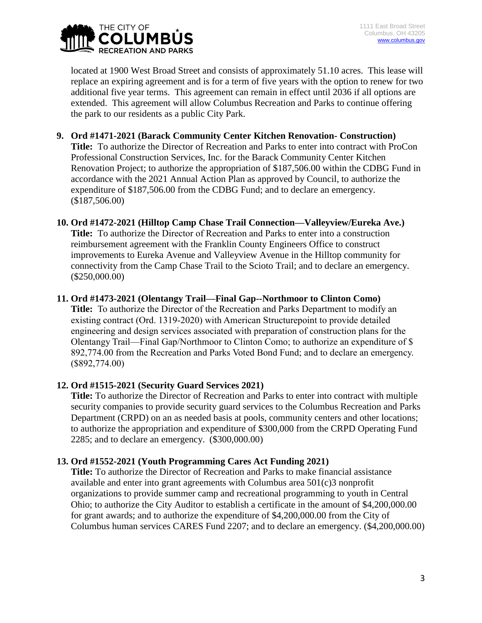

located at 1900 West Broad Street and consists of approximately 51.10 acres. This lease will replace an expiring agreement and is for a term of five years with the option to renew for two additional five year terms. This agreement can remain in effect until 2036 if all options are extended. This agreement will allow Columbus Recreation and Parks to continue offering the park to our residents as a public City Park.

- **9. Ord #1471-2021 (Barack Community Center Kitchen Renovation- Construction) Title:** To authorize the Director of Recreation and Parks to enter into contract with ProCon Professional Construction Services, Inc. for the Barack Community Center Kitchen Renovation Project; to authorize the appropriation of \$187,506.00 within the CDBG Fund in accordance with the 2021 Annual Action Plan as approved by Council, to authorize the expenditure of \$187,506.00 from the CDBG Fund; and to declare an emergency. (\$187,506.00)
- **10. Ord #1472-2021 (Hilltop Camp Chase Trail Connection—Valleyview/Eureka Ave.) Title:** To authorize the Director of Recreation and Parks to enter into a construction reimbursement agreement with the Franklin County Engineers Office to construct improvements to Eureka Avenue and Valleyview Avenue in the Hilltop community for connectivity from the Camp Chase Trail to the Scioto Trail; and to declare an emergency. (\$250,000.00)
- **11. Ord #1473-2021 (Olentangy Trail—Final Gap--Northmoor to Clinton Como) Title:** To authorize the Director of the Recreation and Parks Department to modify an existing contract (Ord. 1319-2020) with American Structurepoint to provide detailed engineering and design services associated with preparation of construction plans for the Olentangy Trail—Final Gap/Northmoor to Clinton Como; to authorize an expenditure of \$ 892,774.00 from the Recreation and Parks Voted Bond Fund; and to declare an emergency.

## **12. Ord #1515-2021 (Security Guard Services 2021)**

(\$892,774.00)

**Title:** To authorize the Director of Recreation and Parks to enter into contract with multiple security companies to provide security guard services to the Columbus Recreation and Parks Department (CRPD) on an as needed basis at pools, community centers and other locations; to authorize the appropriation and expenditure of \$300,000 from the CRPD Operating Fund 2285; and to declare an emergency. (\$300,000.00)

### **13. Ord #1552-2021 (Youth Programming Cares Act Funding 2021)**

**Title:** To authorize the Director of Recreation and Parks to make financial assistance available and enter into grant agreements with Columbus area 501(c)3 nonprofit organizations to provide summer camp and recreational programming to youth in Central Ohio; to authorize the City Auditor to establish a certificate in the amount of \$4,200,000.00 for grant awards; and to authorize the expenditure of \$4,200,000.00 from the City of Columbus human services CARES Fund 2207; and to declare an emergency. (\$4,200,000.00)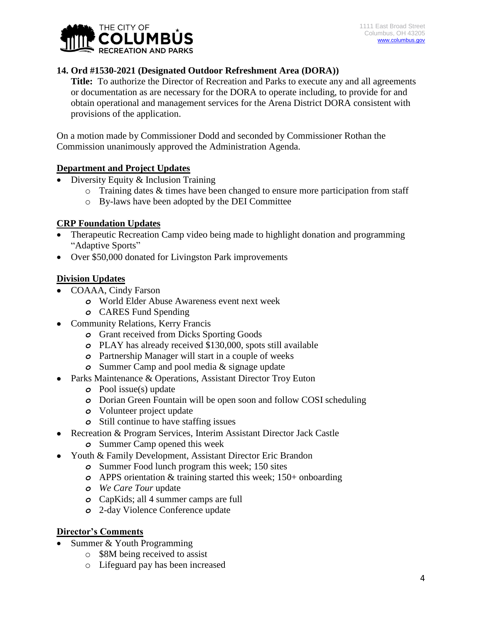

## **14. Ord #1530-2021 (Designated Outdoor Refreshment Area (DORA))**

**Title:** To authorize the Director of Recreation and Parks to execute any and all agreements or documentation as are necessary for the DORA to operate including, to provide for and obtain operational and management services for the Arena District DORA consistent with provisions of the application.

On a motion made by Commissioner Dodd and seconded by Commissioner Rothan the Commission unanimously approved the Administration Agenda.

#### **Department and Project Updates**

- Diversity Equity & Inclusion Training
	- o Training dates & times have been changed to ensure more participation from staff
	- o By-laws have been adopted by the DEI Committee

### **CRP Foundation Updates**

- Therapeutic Recreation Camp video being made to highlight donation and programming "Adaptive Sports"
- Over \$50,000 donated for Livingston Park improvements

#### **Division Updates**

- COAAA, Cindy Farson
	- *o* World Elder Abuse Awareness event next week
	- *o* CARES Fund Spending
- Community Relations, Kerry Francis
	- *o* Grant received from Dicks Sporting Goods
	- *o* PLAY has already received \$130,000, spots still available
	- *o* Partnership Manager will start in a couple of weeks
	- *o* Summer Camp and pool media & signage update
- Parks Maintenance & Operations, Assistant Director Troy Euton
	- *o* Pool issue(s) update
	- *o* Dorian Green Fountain will be open soon and follow COSI scheduling
	- *o* Volunteer project update
	- *o* Still continue to have staffing issues
- Recreation & Program Services, Interim Assistant Director Jack Castle
	- *o* Summer Camp opened this week
- Youth & Family Development, Assistant Director Eric Brandon
	- *o* Summer Food lunch program this week; 150 sites
	- *o* APPS orientation & training started this week; 150+ onboarding
	- *o We Care Tour* update
	- *o* CapKids; all 4 summer camps are full
	- *o* 2-day Violence Conference update

### **Director's Comments**

- Summer & Youth Programming
	- o \$8M being received to assist
	- o Lifeguard pay has been increased